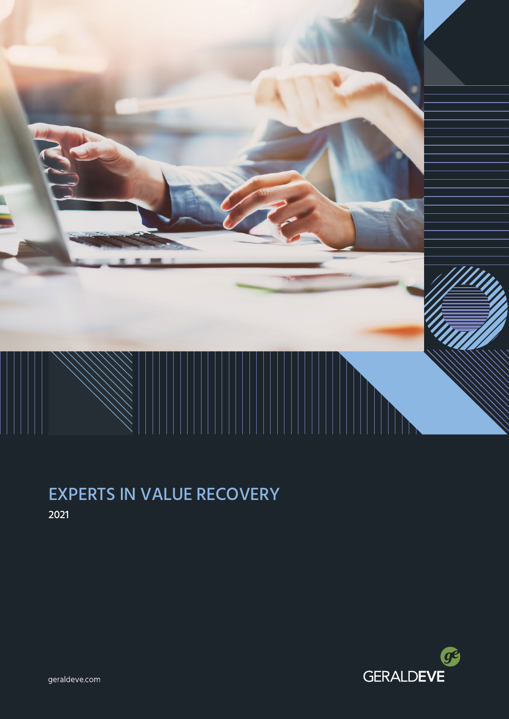

# EXPERTS IN VALUE RECOVERY 2021



geraldeve.com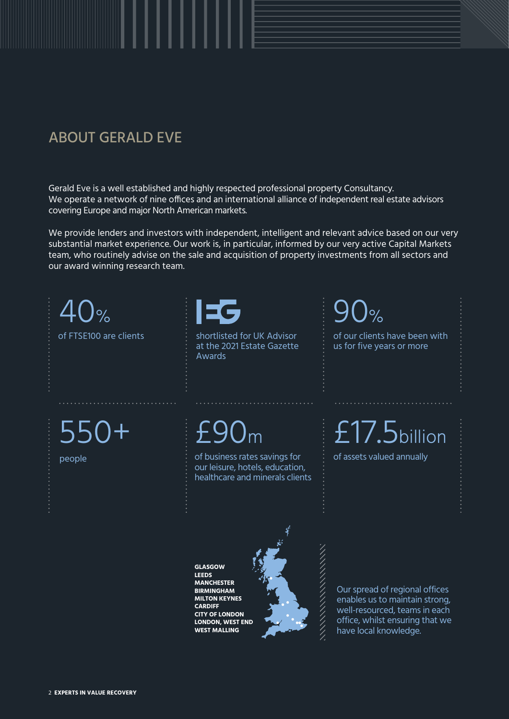# ABOUT GERALD EVE

Gerald Eve is a well established and highly respected professional property Consultancy. We operate a network of nine offices and an international alliance of independent real estate advisors covering Europe and major North American markets.

We provide lenders and investors with independent, intelligent and relevant advice based on our very substantial market experience. Our work is, in particular, informed by our very active Capital Markets team, who routinely advise on the sale and acquisition of property investments from all sectors and our award winning research team.

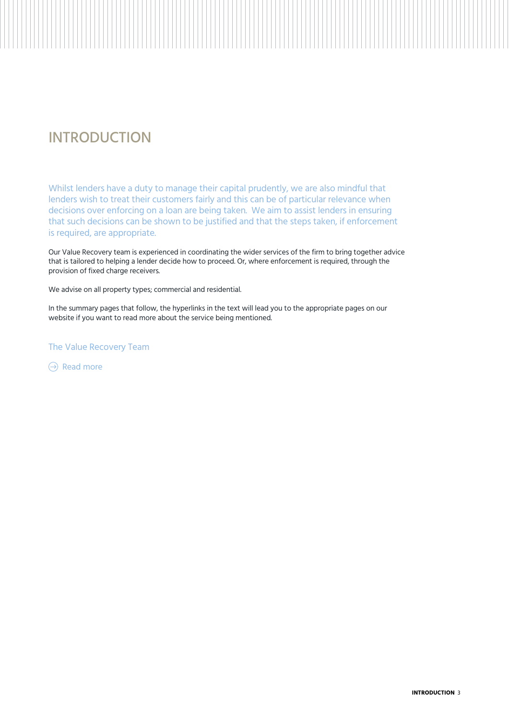# INTRODUCTION

Whilst lenders have a duty to manage their capital prudently, we are also mindful that lenders wish to treat their customers fairly and this can be of particular relevance when decisions over enforcing on a loan are being taken. We aim to assist lenders in ensuring that such decisions can be shown to be justified and that the steps taken, if enforcement is required, are appropriate.

Our Value Recovery team is experienced in coordinating the wider services of the firm to bring together advice that is tailored to helping a lender decide how to proceed. Or, where enforcement is required, through the provision of fixed charge receivers.

We advise on all property types; commercial and residential.

In the summary pages that follow, the hyperlinks in the text will lead you to the appropriate pages on our website if you want to read more about the service being mentioned.

The Value Recovery Team

 $\Theta$  [Read more](https://www.geraldeve.com/services/value-recovery/)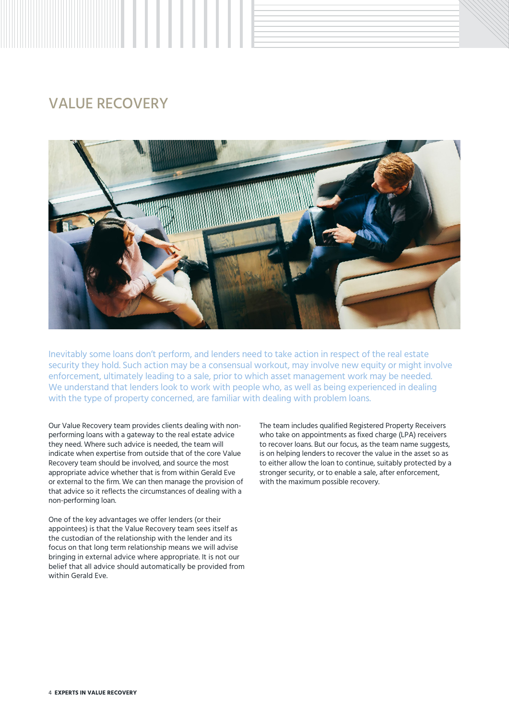# VALUE RECOVERY



Inevitably some loans don't perform, and lenders need to take action in respect of the real estate security they hold. Such action may be a consensual workout, may involve new equity or might involve enforcement, ultimately leading to a sale, prior to which asset management work may be needed. We understand that lenders look to work with people who, as well as being experienced in dealing with the type of property concerned, are familiar with dealing with problem loans.

Our Value Recovery team provides clients dealing with nonperforming loans with a gateway to the real estate advice they need. Where such advice is needed, the team will indicate when expertise from outside that of the core Value Recovery team should be involved, and source the most appropriate advice whether that is from within Gerald Eve or external to the firm. We can then manage the provision of that advice so it reflects the circumstances of dealing with a non-performing loan.

One of the key advantages we offer lenders (or their appointees) is that the Value Recovery team sees itself as the custodian of the relationship with the lender and its focus on that long term relationship means we will advise bringing in external advice where appropriate. It is not our belief that all advice should automatically be provided from within Gerald Eve.

The team includes qualified Registered Property Receivers who take on appointments as fixed charge (LPA) receivers to recover loans. But our focus, as the team name suggests, is on helping lenders to recover the value in the asset so as to either allow the loan to continue, suitably protected by a stronger security, or to enable a sale, after enforcement, with the maximum possible recovery.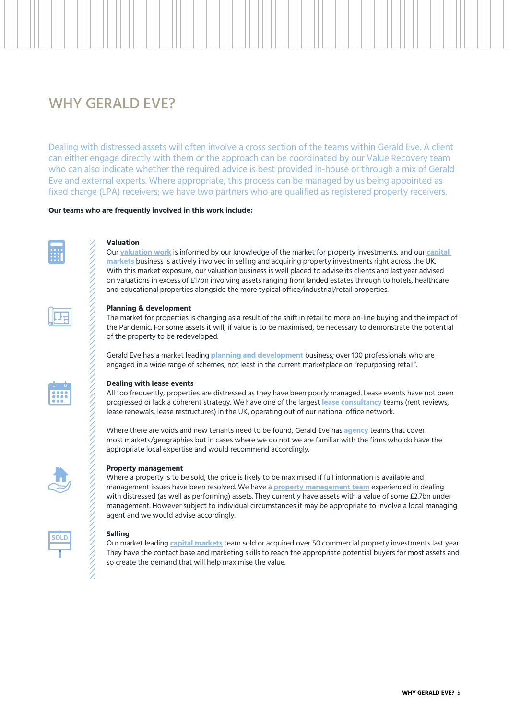# WHY GERALD EVE?

Dealing with distressed assets will often involve a cross section of the teams within Gerald Eve. A client can either engage directly with them or the approach can be coordinated by our Value Recovery team who can also indicate whether the required advice is best provided in-house or through a mix of Gerald Eve and external experts. Where appropriate, this process can be managed by us being appointed as fixed charge (LPA) receivers; we have two partners who are qualified as registered property receivers.

### **Our teams who are frequently involved in this work include:**



### **Valuation**

Our **[valuation work](https://www.geraldeve.com/services/asset-valuation-advisory/)** is informed by our knowledge of the market for property investments, and our **[capital](https://www.geraldeve.com/services/capital-markets/)  [markets](https://www.geraldeve.com/services/capital-markets/)** business is actively involved in selling and acquiring property investments right across the UK. With this market exposure, our valuation business is well placed to advise its clients and last year advised on valuations in excess of £17bn involving assets ranging from landed estates through to hotels, healthcare and educational properties alongside the more typical office/industrial/retail properties.



### **Planning & development**

The market for properties is changing as a result of the shift in retail to more on-line buying and the impact of the Pandemic. For some assets it will, if value is to be maximised, be necessary to demonstrate the potential of the property to be redeveloped.

Gerald Eve has a market leading **[planning and development](https://www.geraldeve.com/services/planning-development/)** business; over 100 professionals who are engaged in a wide range of schemes, not least in the current marketplace on "repurposing retail".



### **Dealing with lease events**

All too frequently, properties are distressed as they have been poorly managed. Lease events have not been progressed or lack a coherent strategy. We have one of the largest **[lease consultancy](https://www.geraldeve.com/services/lease-consultancy/)** teams (rent reviews, lease renewals, lease restructures) in the UK, operating out of our national office network.

Where there are voids and new tenants need to be found, Gerald Eve has **[agency](https://www.geraldeve.com/services/agency/)** teams that cover most markets/geographies but in cases where we do not we are familiar with the firms who do have the appropriate local expertise and would recommend accordingly.

### **Property management**

Where a property is to be sold, the price is likely to be maximised if full information is available and management issues have been resolved. We have a **[property management team](https://www.geraldeve.com/services/property-asset-management/)** experienced in dealing with distressed (as well as performing) assets. They currently have assets with a value of some £2.7bn under management. However subject to individual circumstances it may be appropriate to involve a local managing agent and we would advise accordingly.



### **Selling**

Our market leading **[capital markets](https://www.geraldeve.com/services/capital-markets/)** team sold or acquired over 50 commercial property investments last year. They have the contact base and marketing skills to reach the appropriate potential buyers for most assets and so create the demand that will help maximise the value.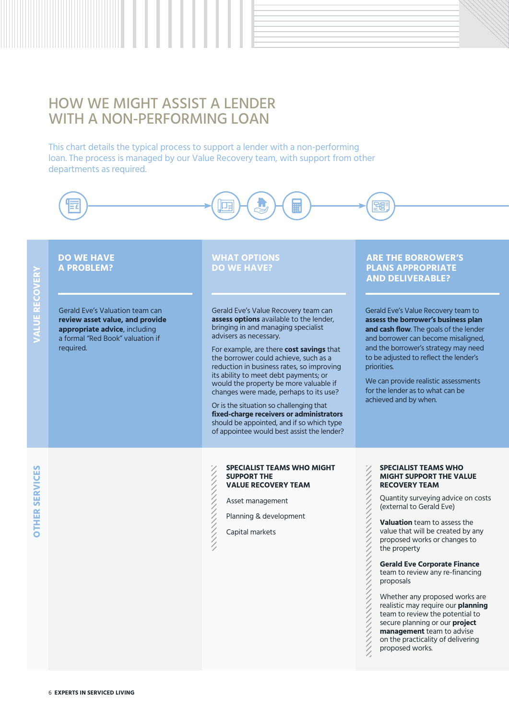# HOW WE MIGHT ASSIST A LENDER WITH A NON-PERFORMING LOAN

This chart details the typical process to support a lender with a non-performing loan. The process is managed by our Value Recovery team, with support from other departments as required.

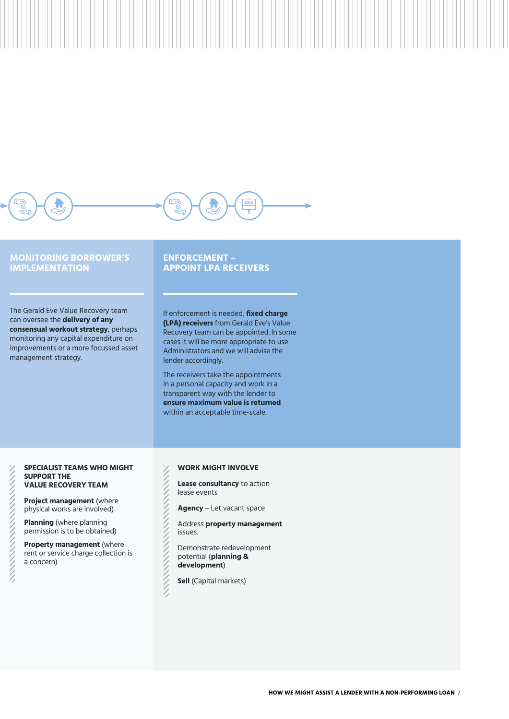

# **MONITORING BORROWER'S IMPLEMENTATION**

The Gerald Eve Value Recovery team can oversee the **delivery of any consensual workout strategy**, perhaps monitoring any capital expenditure on improvements or a more focussed asset management strategy.

# **ENFORCEMENT – APPOINT LPA RECEIVERS**

If enforcement is needed, **fixed charge (LPA) receivers** from Gerald Eve's Value Recovery team can be appointed. In some cases it will be more appropriate to use Administrators and we will advise the lender accordingly.

The receivers take the appointments in a personal capacity and work in a transparent way with the lender to **ensure maximum value is returned** within an acceptable time-scale.

#### **SPECIALIST TEAMS WHO MIGHT SUPPORT THE VALUE RECOVERY TEAM**

**Project management** (where physical works are involved)

**Planning** (where planning permission is to be obtained)

**Property management** (where rent or service charge collection is a concern)

## **WORK MIGHT INVOLVE**

- **Lease consultancy** to action lease events
- **Agency** Let vacant space
- Address **property management** issues.
- Demonstrate redevelopment potential (**planning & development**)

**Sell** (Capital markets)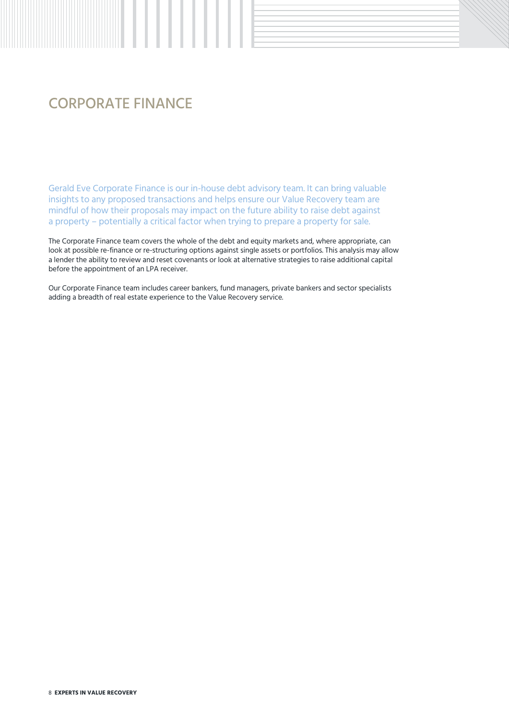# CORPORATE FINANCE

Gerald Eve Corporate Finance is our in-house debt advisory team. It can bring valuable insights to any proposed transactions and helps ensure our Value Recovery team are mindful of how their proposals may impact on the future ability to raise debt against a property – potentially a critical factor when trying to prepare a property for sale.

The Corporate Finance team covers the whole of the debt and equity markets and, where appropriate, can look at possible re-finance or re-structuring options against single assets or portfolios. This analysis may allow a lender the ability to review and reset covenants or look at alternative strategies to raise additional capital before the appointment of an LPA receiver.

Our Corporate Finance team includes career bankers, fund managers, private bankers and sector specialists adding a breadth of real estate experience to the Value Recovery service.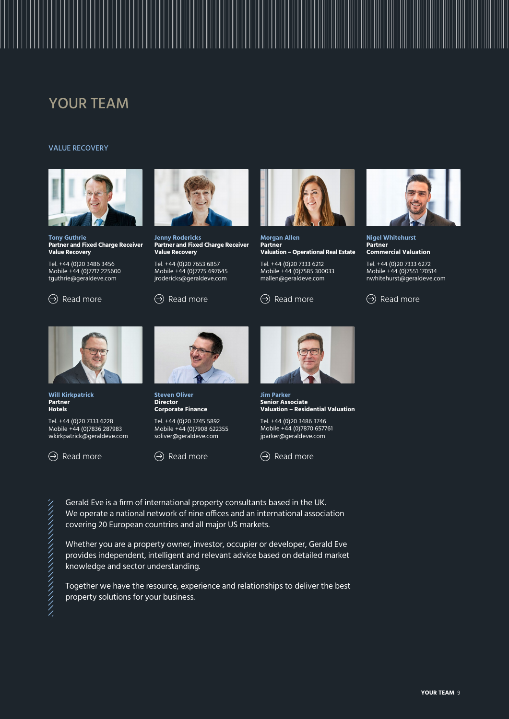# YOUR TEAM

### VALUE RECOVERY



**Tony Guthrie Partner and Fixed Charge Receiver Value Recovery**

Tel. +44 (0)20 3486 3456 Mobile +44 (0)7717 225600 [tguthrie@geraldeve.com](mailto:tguthrie%40geraldeve.com?subject=)

 $\textcircled{)}$  [Read more](https://www.geraldeve.com/people/jenny-rodericks/)  $\textcircled{)}$  Read more



**Jenny Rodericks Partner and Fixed Charge Receiver Value Recovery**

Tel. +44 (0)20 7653 6857 Mobile +44 (0)7775 697645 [jrodericks@geraldeve.com](mailto:jrodericks%40geraldeve.com?subject=)



**Morgan Allen Partner Valuation – Operational Real Estate**

Tel. +44 (0)20 7333 6212 Mobile +44 (0)7585 300033 [mallen@geraldeve.com](mailto:mallen%40geraldeve.com?subject=)

 $\Theta$  [Read more](https://www.geraldeve.com/people/morgan-allen/)



**Nigel Whitehurst Partner Commercial Valuation**

Tel. +44 (0)20 7333 6272 Mobile +44 (0)7551 170514 [nwhitehurst@geraldeve.com](mailto:nwhitehurst%40geraldeve.com?subject=)





**Will Kirkpatrick Partner Hotels**

Tel. +44 (0)20 7333 6228 Mobile +44 (0)7836 287983 [wkirkpatrick@geraldeve.com](mailto:wkirkpatrick%40geraldeve.com?subject=)

 $\Theta$  [Read more](https://www.geraldeve.com/people/will-kirkpatrick/)



**Steven Oliver Director Corporate Finance**

Tel. +44 (0)20 3745 5892 Mobile +44 (0)7908 622355 [soliver@geraldeve.com](mailto:soliver%40geraldeve.com?subject=)

 $\ominus$  [Read more](https://www.geraldeve.com/people/steven-oliver/)



**Jim Parker Senior Associate Valuation – Residential Valuation**

Tel. +44 (0)20 3486 3746 Mobile +44 (0)7870 657761 [jparker@geraldeve.com](mailto:jparker%40geraldeve.com?subject=)



Gerald Eve is a firm of international property consultants based in the UK. We operate a national network of nine offices and an international association covering 20 European countries and all major US markets.

Whether you are a property owner, investor, occupier or developer, Gerald Eve provides independent, intelligent and relevant advice based on detailed market knowledge and sector understanding.

Together we have the resource, experience and relationships to deliver the best property solutions for your business.